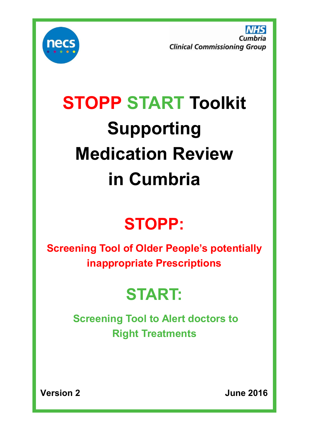

Cumbria **Clinical Commissioning Group** 

# **STOPP START Toolkit Supporting Medication Review in Cumbria**

# **STOPP:**

**Screening Tool of Older People's potentially inappropriate Prescriptions**

# **START:**

**Screening Tool to Alert doctors to Right Treatments**

**Version 2 June 2016**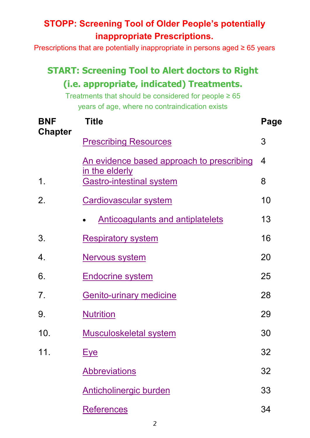### **STOPP: Screening Tool of Older People's potentially inappropriate Prescriptions.**

Prescriptions that are potentially inappropriate in persons aged ≥ 65 years

## **START: Screening Tool to Alert doctors to Right (i.e. appropriate, indicated) Treatments.**

Treatments that should be considered for people  $\geq 65$ years of age, where no contraindication exists

| <b>BNF</b><br><b>Chapter</b> | <b>Title</b>                                                | Page |
|------------------------------|-------------------------------------------------------------|------|
|                              | <b>Prescribing Resources</b>                                | 3    |
|                              | An evidence based approach to prescribing<br>in the elderly | 4    |
| 1.                           | Gastro-intestinal system                                    | 8    |
| 2.                           | Cardiovascular system                                       | 10   |
|                              | <b>Anticoagulants and antiplatelets</b>                     | 13   |
| 3.                           | <b>Respiratory system</b>                                   | 16   |
| 4.                           | Nervous system                                              | 20   |
| 6.                           | <b>Endocrine system</b>                                     | 25   |
| 7.                           | <b>Genito-urinary medicine</b>                              | 28   |
| 9.                           | <b>Nutrition</b>                                            | 29   |
| 10.                          | <b>Musculoskeletal system</b>                               | 30   |
| 11.                          | <u>Eye</u>                                                  | 32   |
|                              | <b>Abbreviations</b>                                        | 32   |
|                              | <b>Anticholinergic burden</b>                               | 33   |
|                              | References                                                  | 34   |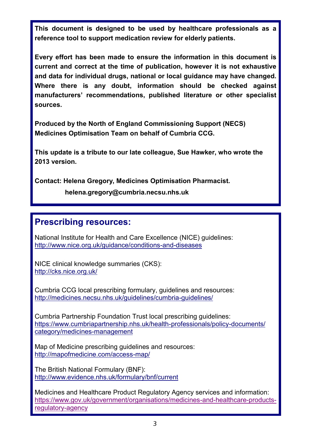<span id="page-2-0"></span>**This document is designed to be used by healthcare professionals as a reference tool to support medication review for elderly patients.** 

**Every effort has been made to ensure the information in this document is current and correct at the time of publication, however it is not exhaustive and data for individual drugs, national or local guidance may have changed. Where there is any doubt, information should be checked against manufacturers' recommendations, published literature or other specialist sources.**

**Produced by the North of England Commissioning Support (NECS) Medicines Optimisation Team on behalf of Cumbria CCG.**

**This update is a tribute to our late colleague, Sue Hawker, who wrote the 2013 version.**

**Contact: Helena Gregory, Medicines Optimisation Pharmacist.** 

 **helena.gregory@cumbria.necsu.nhs.uk**

#### **Prescribing resources:**

National Institute for Health and Care Excellence (NICE) guidelines: [http://www.nice.org.uk/guidance/conditions](http://www.nice.org.uk/guidance/conditions-and-diseases)-and-diseases

NICE clinical knowledge summaries (CKS): <http://cks.nice.org.uk/>

Cumbria CCG local prescribing formulary, guidelines and resources: [http://medicines.necsu.nhs.uk/guidelines/cumbria](http://medicines.necsu.nhs.uk/guidelines/cumbria-guidelines/)-guidelines/

Cumbria Partnership Foundation Trust local prescribing guidelines: [https://www.cumbriapartnership.nhs.uk/health](https://www.cumbriapartnership.nhs.uk/health-professionals/policy-documents/category/medicines-management)-professionals/policy-documents/ [category/medicines](https://www.cumbriapartnership.nhs.uk/health-professionals/policy-documents/category/medicines-management)-management

Map of Medicine prescribing guidelines and resources: http://mapofmedicine.com/access-map/

The British National Formulary (BNF): <http://www.evidence.nhs.uk/formulary/bnf/current>

Medicines and Healthcare Product Regulatory Agency services and information: [https://www.gov.uk/government/organisations/medicines](https://www.gov.uk/government/organisations/medicines-and-healthcare-products-regulatory-agency)-and-healthcare-products[regulatory](https://www.gov.uk/government/organisations/medicines-and-healthcare-products-regulatory-agency)-agency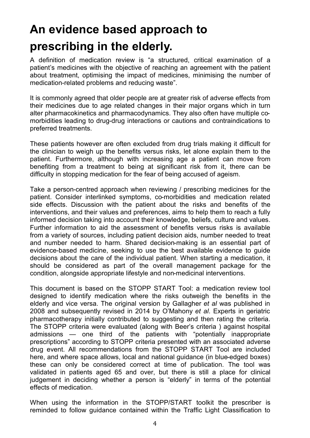# <span id="page-3-0"></span>**An evidence based approach to prescribing in the elderly.**

A definition of medication review is "a structured, critical examination of a patient's medicines with the objective of reaching an agreement with the patient about treatment, optimising the impact of medicines, minimising the number of medication-related problems and reducing waste".

It is commonly agreed that older people are at greater risk of adverse effects from their medicines due to age related changes in their major organs which in turn alter pharmacokinetics and pharmacodynamics. They also often have multiple comorbidities leading to drug-drug interactions or cautions and contraindications to preferred treatments.

These patients however are often excluded from drug trials making it difficult for the clinician to weigh up the benefits versus risks, let alone explain them to the patient. Furthermore, although with increasing age a patient can move from benefiting from a treatment to being at significant risk from it, there can be difficulty in stopping medication for the fear of being accused of ageism.

Take a person-centred approach when reviewing / prescribing medicines for the patient. Consider interlinked symptoms, co-morbidities and medication related side effects. Discussion with the patient about the risks and benefits of the interventions, and their values and preferences, aims to help them to reach a fully informed decision taking into account their knowledge, beliefs, culture and values. Further information to aid the assessment of benefits versus risks is available from a variety of sources, including patient decision aids, number needed to treat and number needed to harm. Shared decision-making is an essential part of evidence-based medicine, seeking to use the best available evidence to guide decisions about the care of the individual patient. When starting a medication, it should be considered as part of the overall management package for the condition, alongside appropriate lifestyle and non-medicinal interventions.

This document is based on the STOPP START Tool: a medication review tool designed to identify medication where the risks outweigh the benefits in the elderly and vice versa. The original version by Gallagher *et al* was published in 2008 and subsequently revised in 2014 by O'Mahony *et al*. Experts in geriatric pharmacotherapy initially contributed to suggesting and then rating the criteria. The STOPP criteria were evaluated (along with Beer's criteria ) against hospital admissions — one third of the patients with "potentially inappropriate prescriptions" according to STOPP criteria presented with an associated adverse drug event. All recommendations from the STOPP START Tool are included here, and where space allows, local and national guidance (in blue-edged boxes) these can only be considered correct at time of publication. The tool was validated in patients aged 65 and over, but there is still a place for clinical judgement in deciding whether a person is "elderly" in terms of the potential effects of medication.

When using the information in the STOPP/START toolkit the prescriber is reminded to follow guidance contained within the Traffic Light Classification to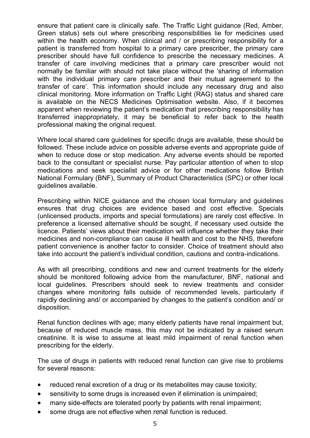ensure that patient care is clinically safe. The Traffic Light guidance (Red, Amber, Green status) sets out where prescribing responsibilities lie for medicines used within the health economy. When clinical and / or prescribing responsibility for a patient is transferred from hospital to a primary care prescriber, the primary care prescriber should have full confidence to prescribe the necessary medicines. A transfer of care involving medicines that a primary care prescriber would not normally be familiar with should not take place without the 'sharing of information with the individual primary care prescriber and their mutual agreement to the transfer of care'. This information should include any necessary drug and also clinical monitoring. More information on Traffic Light (RAG) status and shared care is available on the NECS Medicines Optimisation website. Also, if it becomes apparent when reviewing the patient's medication that prescribing responsibility has transferred inappropriately, it may be beneficial to refer back to the health professional making the original request.

Where local shared care guidelines for specific drugs are available, these should be followed. These include advice on possible adverse events and appropriate guide of when to reduce dose or stop medication. Any adverse events should be reported back to the consultant or specialist nurse. Pay particular attention of when to stop medications and seek specialist advice or for other medications follow British National Formulary (BNF), Summary of Product Characteristics (SPC) or other local guidelines available.

Prescribing within NICE guidance and the chosen local formulary and guidelines ensures that drug choices are evidence based and cost effective. Specials (unlicensed products, imports and special formulations) are rarely cost effective. In preference a licensed alternative should be sought, if necessary used outside the licence. Patients' views about their medication will influence whether they take their medicines and non-compliance can cause ill health and cost to the NHS, therefore patient convenience is another factor to consider. Choice of treatment should also take into account the patient's individual condition, cautions and contra-indications.

As with all prescribing, conditions and new and current treatments for the elderly should be monitored following advice from the manufacturer, BNF, national and local guidelines. Prescribers should seek to review treatments and consider changes where monitoring falls outside of recommended levels, particularly if rapidly declining and/ or accompanied by changes to the patient's condition and/ or disposition.

Renal function declines with age; many elderly patients have renal impairment but, because of reduced muscle mass, this may not be indicated by a raised serum creatinine. It is wise to assume at least mild impairment of renal function when prescribing for the elderly.

The use of drugs in patients with reduced renal function can give rise to problems for several reasons:

- reduced renal excretion of a drug or its metabolites may cause toxicity;
- sensitivity to some drugs is increased even if elimination is unimpaired;
- many side-effects are tolerated poorly by patients with renal impairment;
- some drugs are not effective when renal function is reduced.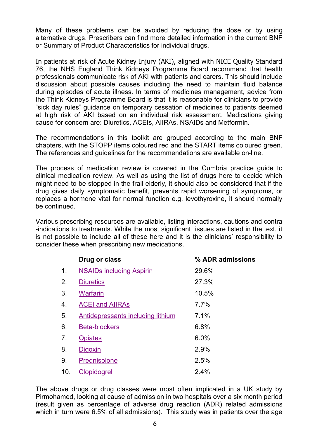Many of these problems can be avoided by reducing the dose or by using alternative drugs. Prescribers can find more detailed information in the current BNF or Summary of Product Characteristics for individual drugs.

In patients at risk of Acute Kidney Injury (AKI), aligned with NICE Quality Standard 76, the NHS England Think Kidneys Programme Board recommend that health professionals communicate risk of AKI with patients and carers. This should include discussion about possible causes including the need to maintain fluid balance during episodes of acute illness. In terms of medicines management, advice from the Think Kidneys Programme Board is that it is reasonable for clinicians to provide "sick day rules" guidance on temporary cessation of medicines to patients deemed at high risk of AKI based on an individual risk assessment. Medications giving cause for concern are: Diuretics, ACEIs, AIIRAs, NSAIDs and Metformin.

The recommendations in this toolkit are grouped according to the main BNF chapters, with the STOPP items coloured red and the START items coloured green. The references and guidelines for the recommendations are available on-line.

The process of medication review is covered in the Cumbria practice guide to clinical medication review. As well as using the list of drugs here to decide which might need to be stopped in the frail elderly, it should also be considered that if the drug gives daily symptomatic benefit, prevents rapid worsening of symptoms, or replaces a hormone vital for normal function e.g. levothyroxine, it should normally be continued.

Various prescribing resources are available, listing interactions, cautions and contra -indications to treatments. While the most significant issues are listed in the text, it is not possible to include all of these here and it is the clinicians' responsibility to consider these when prescribing new medications.

|               | Drug or class                     | % ADR admissions |
|---------------|-----------------------------------|------------------|
| $\mathbf 1$ . | <b>NSAIDs including Aspirin</b>   | 29.6%            |
| 2.            | <b>Diuretics</b>                  | 27.3%            |
| 3.            | Warfarin                          | 10.5%            |
| 4.            | <b>ACEI and AIIRAs</b>            | 7.7%             |
| 5.            | Antidepressants including lithium | 7.1%             |
| 6.            | <b>Beta-blockers</b>              | 6.8%             |
| 7.            | <b>Opiates</b>                    | 6.0%             |
| 8.            | Digoxin                           | 2.9%             |
| 9.            | Prednisolone                      | 2.5%             |
| 10.           | Clopidogrel                       | 2.4%             |

The above drugs or drug classes were most often implicated in a UK study by Pirmohamed, looking at cause of admission in two hospitals over a six month period (result given as percentage of adverse drug reaction (ADR) related admissions which in turn were 6.5% of all admissions). This study was in patients over the age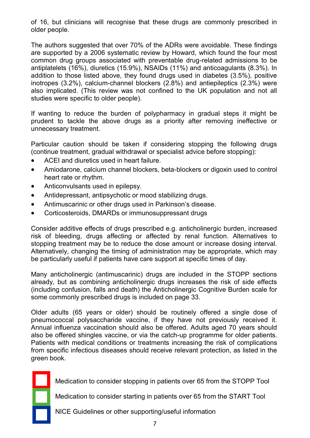of 16, but clinicians will recognise that these drugs are commonly prescribed in older people.

The authors suggested that over 70% of the ADRs were avoidable. These findings are supported by a 2006 systematic review by Howard, which found the four most common drug groups associated with preventable drug-related admissions to be antiplatelets (16%), diuretics (15.9%), NSAIDs (11%) and anticoagulants (8.3%). In addition to those listed above, they found drugs used in diabetes (3.5%), positive inotropes (3.2%), calcium-channel blockers (2.8%) and antiepileptics (2.3%) were also implicated. (This review was not confined to the UK population and not all studies were specific to older people).

If wanting to reduce the burden of polypharmacy in gradual steps it might be prudent to tackle the above drugs as a priority after removing ineffective or unnecessary treatment.

Particular caution should be taken if considering stopping the following drugs (continue treatment, gradual withdrawal or specialist advice before stopping):

- ACEI and diuretics used in heart failure.
- Amiodarone, calcium channel blockers, beta-blockers or digoxin used to control heart rate or rhythm.
- Anticonvulsants used in epilepsy.
- Antidepressant, antipsychotic or mood stabilizing drugs.
- Antimuscarinic or other drugs used in Parkinson's disease.
- Corticosteroids, DMARDs or immunosuppressant drugs

Consider additive effects of drugs prescribed e.g. anticholinergic burden, increased risk of bleeding, drugs affecting or affected by renal function. Alternatives to stopping treatment may be to reduce the dose amount or increase dosing interval. Alternatively, changing the timing of administration may be appropriate, which may be particularly useful if patients have care support at specific times of day.

Many anticholinergic (antimuscarinic) drugs are included in the STOPP sections already, but as combining anticholinergic drugs increases the risk of side effects (including confusion, falls and death) the Anticholinergic Cognitive Burden scale for some commonly prescribed drugs is included on page 33.

Older adults (65 years or older) should be routinely offered a single dose of pneumococcal polysaccharide vaccine, if they have not previously received it. Annual influenza vaccination should also be offered. Adults aged 70 years should also be offered shingles vaccine, or via the catch-up programme for older patients. Patients with medical conditions or treatments increasing the risk of complications from specific infectious diseases should receive relevant protection, as listed in the green book.



Medication to consider stopping in patients over 65 from the STOPP Tool

Medication to consider starting in patients over 65 from the START Tool

NICE Guidelines or other supporting/useful information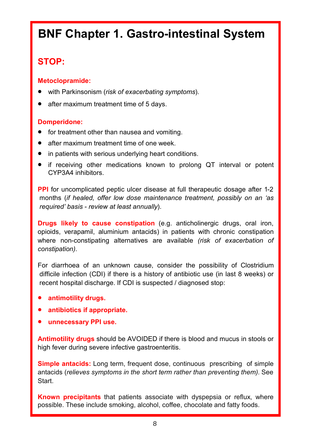# <span id="page-7-0"></span>**BNF Chapter 1. Gastro-intestinal System**

### **STOP:**

#### **Metoclopramide:**

- with Parkinsonism (*risk of exacerbating symptoms*).
- after maximum treatment time of 5 days.

#### **Domperidone:**

- for treatment other than nausea and vomiting.
- after maximum treatment time of one week.
- in patients with serious underlying heart conditions.
- if receiving other medications known to prolong QT interval or potent CYP3A4 inhibitors.

**PPI** for uncomplicated peptic ulcer disease at full therapeutic dosage after 1-2 months (*if healed, offer low dose maintenance treatment, possibly on an 'as required' basis - review at least annually*).

**Drugs likely to cause constipation** (e.g. anticholinergic drugs, oral iron, opioids, verapamil, aluminium antacids) in patients with chronic constipation where non-constipating alternatives are available *(risk of exacerbation of constipation).*

For diarrhoea of an unknown cause, consider the possibility of Clostridium difficile infection (CDI) if there is a history of antibiotic use (in last 8 weeks) or recent hospital discharge. If CDI is suspected / diagnosed stop:

- **antimotility drugs.**
- **antibiotics if appropriate.**
- **unnecessary PPI use.**

**Antimotility drugs** should be AVOIDED if there is blood and mucus in stools or high fever during severe infective gastroenteritis.

**Simple antacids:** Long term, frequent dose, continuous prescribing of simple antacids (*relieves symptoms in the short term rather than preventing them).* See Start.

**Known precipitants** that patients associate with dyspepsia or reflux, where possible. These include smoking, alcohol, coffee, chocolate and fatty foods.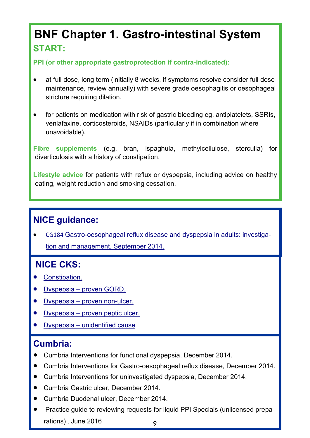## **BNF Chapter 1. Gastro-intestinal System START:**

**PPI (or other appropriate gastroprotection if contra-indicated):**

- at full dose, long term (initially 8 weeks, if symptoms resolve consider full dose maintenance, review annually) with severe grade oesophagitis or oesophageal stricture requiring dilation.
- for patients on medication with risk of gastric bleeding eg. antiplatelets, SSRIs, venlafaxine, corticosteroids, NSAIDs (particularly if in combination where unavoidable).

**Fibre supplements** (e.g. bran, ispaghula, methylcellulose, sterculia) for diverticulosis with a history of constipation.

**Lifestyle advice** for patients with reflux or dyspepsia, including advice on healthy eating, weight reduction and smoking cessation.

#### Ĩ **NICE guidance:**

 CG184 Gastro-[oesophageal reflux disease and dyspepsia in adults: investiga](https://www.nice.org.uk/guidance/cg184)[tion and management, September 2014.](https://www.nice.org.uk/guidance/cg184)

### **NICE CKS:**

- [Constipation.](http://cks.nice.org.uk/constipation)
- Dyspepsia [proven GORD.](http://cks.nice.org.uk/dyspepsia-proven-gord)
- [Dyspepsia –](http://cks.nice.org.uk/dyspepsia-proven-non-ulcer) proven non-ulcer.
- Dyspepsia [proven peptic ulcer.](http://cks.nice.org.uk/dyspepsia-proven-peptic-ulcer)
- Dyspepsia [unidentified cause](http://cks.nice.org.uk/dyspepsia-unidentified-cause)

#### **Cumbria:**

- Cumbria Interventions for functional dyspepsia, December 2014.
- Cumbria Interventions for Gastro-oesophageal reflux disease, December 2014.
- Cumbria Interventions for uninvestigated dyspepsia, December 2014.
- Cumbria Gastric ulcer, December 2014.
- Cumbria Duodenal ulcer, December 2014.
- 9 [Practice guide to reviewing requests for liquid PPI Specials \(unlicensed prepa](http://medicines.necsu.nhs.uk/download/practice-guide-to-reviewing-requests-for-liquid-ppi-specials-unlicensed-preparations/)[rations\)](http://medicines.necsu.nhs.uk/download/practice-guide-to-reviewing-requests-for-liquid-ppi-specials-unlicensed-preparations/) , June 2016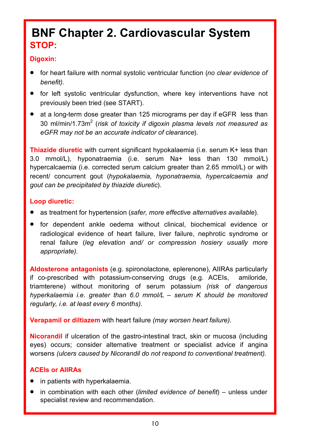## <span id="page-9-0"></span>**STOP: BNF Chapter 2. Cardiovascular System**

#### **Digoxin:**

- for heart failure with normal systolic ventricular function (*no clear evidence of benefit).*
- for left systolic ventricular dysfunction, where key interventions have not previously been tried (see START).
- at a long-term dose greater than 125 micrograms per day if eGFR less than 30 ml/min/1.73m<sup>2</sup> (risk of toxicity if digoxin plasma levels not measured as *eGFR may not be an accurate indicator of clearance*).

**Thiazide diuretic** with current significant hypokalaemia (i.e. serum K+ less than 3.0 mmol/L), hyponatraemia (i.e. serum Na+ less than 130 mmol/L) hypercalcaemia (i.e. corrected serum calcium greater than 2.65 mmol/L) or with recent/ concurrent gout (*hypokalaemia, hyponatraemia, hypercalcaemia and gout can be precipitated by thiazide diuretic*).

#### **Loop diuretic:**

- as treatment for hypertension (*safer, more effective alternatives available*).
- for dependent ankle oedema without clinical, biochemical evidence or radiological evidence of heart failure, liver failure, nephrotic syndrome or renal failure (*leg elevation and/ or compression hosiery usually more appropriate).*

**Aldosterone antagonists** (e.g. spironolactone, eplerenone), AIIRAs particularly if co-prescribed with potassium-conserving drugs (e.g. ACEIs, amiloride, triamterene) without monitoring of serum potassium *(risk of dangerous hyperkalaemia i.e. greater than 6.0 mmol/L – serum K should be monitored regularly, i.e. at least every 6 months).*

**Verapamil or diltiazem** with heart failure *(may worsen heart failure).*

**Nicorandil** if ulceration of the gastro-intestinal tract, skin or mucosa (including eyes) occurs; consider alternative treatment or specialist advice if angina worsens *(ulcers caused by Nicorandil do not respond to conventional treatment).*

#### **ACEIs or AIIRAs**

- in patients with hyperkalaemia.
- in combination with each other (*limited evidence of benefit*) unless under specialist review and recommendation.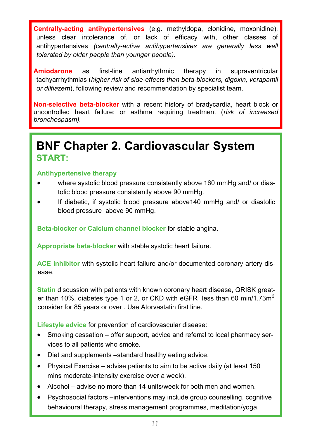<span id="page-10-0"></span>**Centrally-acting antihypertensives** (e.g. methyldopa, clonidine, moxonidine), unless clear intolerance of, or lack of efficacy with, other classes of antihypertensives *(centrally-active antihypertensives are generally less well tolerated by older people than younger people).*

**Amiodarone** as first-line antiarrhythmic therapy in supraventricular tachyarrhythmias (*higher risk of side-effects than beta-blockers, digoxin, verapamil or diltiazem*), following review and recommendation by specialist team.

**Non-selective beta-blocker** with a recent history of bradycardia, heart block or uncontrolled heart failure; or asthma requiring treatment (*risk of increased bronchospasm).*

### **BNF Chapter 2. Cardiovascular System START:**

#### **Antihypertensive therapy**

- where systolic blood pressure consistently above 160 mmHg and/ or diastolic blood pressure consistently above 90 mmHg.
- If diabetic, if systolic blood pressure above140 mmHg and/ or diastolic blood pressure above 90 mmHg.

**Beta-blocker or Calcium channel blocker** for stable angina.

**Appropriate beta-blocker** with stable systolic heart failure.

**ACE inhibitor** with systolic heart failure and/or documented coronary artery disease.

**Statin** discussion with patients with known coronary heart disease, QRISK greater than 10%, diabetes type 1 or 2, or CKD with eGFR less than 60 min/1.73m<sup>2,</sup> consider for 85 years or over . Use Atorvastatin first line.

**Lifestyle advice** for prevention of cardiovascular disease:

- Smoking cessation offer support, advice and referral to local pharmacy services to all patients who smoke.
- Diet and supplements –standard healthy eating advice.
- Physical Exercise advise patients to aim to be active daily (at least 150 mins moderate-intensity exercise over a week).
- Alcohol advise no more than 14 units/week for both men and women.
- Psychosocial factors –interventions may include group counselling, cognitive behavioural therapy, stress management programmes, meditation/yoga.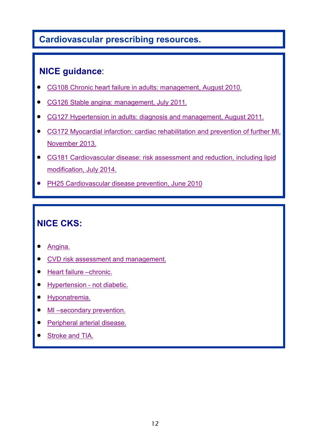#### **Cardiovascular prescribing resources.**

#### **[NICE guidance](http://guidance.nice.org.uk/TA210/QuickRefGuide/pdf/English)**:

- [CG108 Chronic heart failure in adults: management, August 2010.](https://www.nice.org.uk/guidance/cg108)
- [CG126 Stable angina: management, July 2011.](https://www.nice.org.uk/guidance/cg126)
- [CG127 Hypertension in adults: diagnosis and management, August 2011.](https://www.nice.org.uk/guidance/cg127)
- CG172 Myocardial infarction: cardiac rehabilitation and prevention of further MI, [November 2013.](https://www.nice.org.uk/guidance/cg172)
- [CG181 Cardiovascular disease: risk assessment and reduction, including lipid](https://www.nice.org.uk/guidance/cg181)  [modification, July 2014.](https://www.nice.org.uk/guidance/cg181)
- [PH25 Cardiovascular disease prevention, June 2010](https://www.nice.org.uk/guidance/ph25)

### **NICE CKS:**

- [Angina.](http://cks.nice.org.uk/angina)
- [CVD risk assessment and management.](http://cks.nice.org.uk/cvd-risk-assessment-and-management)
- [Heart failure –chronic.](http://cks.nice.org.uk/heart-failure-chronic)
- [Hypertension](http://cks.nice.org.uk/hypertension-not-diabetic)  not diabetic.
- [Hyponatremia.](http://cks.nice.org.uk/hyponatraemia)
- [MI –secondary prevention.](http://cks.nice.org.uk/mi-secondary-prevention)
- [Peripheral arterial disease.](http://cks.nice.org.uk/peripheral-arterial-disease)
- [Stroke and TIA.](http://cks.nice.org.uk/stroke-and-tia)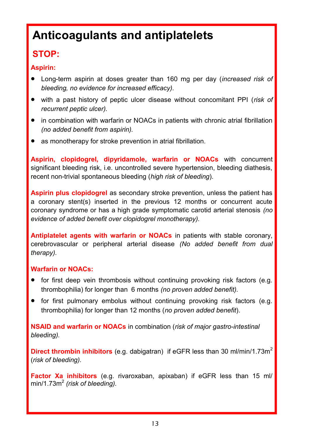# <span id="page-12-0"></span>**Anticoagulants and antiplatelets**

#### **STOP:**

#### **Aspirin:**

- Long-term aspirin at doses greater than 160 mg per day (*increased risk of bleeding, no evidence for increased efficacy).*
- with a past history of peptic ulcer disease without concomitant PPI (*risk of recurrent peptic ulcer).*
- in combination with warfarin or NOACs in patients with chronic atrial fibrillation *(no added benefit from aspirin).*
- as monotherapy for stroke prevention in atrial fibrillation.

**Aspirin, clopidogrel, dipyridamole, warfarin or NOACs** with concurrent significant bleeding risk, i.e. uncontrolled severe hypertension, bleeding diathesis, recent non-trivial spontaneous bleeding (*high risk of bleeding*).

**Aspirin plus clopidogrel** as secondary stroke prevention, unless the patient has a coronary stent(s) inserted in the previous 12 months or concurrent acute coronary syndrome or has a high grade symptomatic carotid arterial stenosis *(no evidence of added benefit over clopidogrel monotherapy).*

**Antiplatelet agents with warfarin or NOACs** in patients with stable coronary, cerebrovascular or peripheral arterial disease *(No added benefit from dual therapy).*

#### **Warfarin or NOACs:**

- for first deep vein thrombosis without continuing provoking risk factors (e.g. thrombophilia) for longer than 6 months *(no proven added benefit).*
- for first pulmonary embolus without continuing provoking risk factors (e.g. thrombophilia) for longer than 12 months (*no proven added benefit*).

**NSAID and warfarin or NOACs** in combination (*risk of major gastro-intestinal bleeding).*

**Direct thrombin inhibitors** (e.g. dabigatran) if eGFR less than 30 ml/min/1.73m<sup>2</sup> (*risk of bleeding).*

**Factor Xa inhibitors** (e.g. rivaroxaban, apixaban) if eGFR less than 15 ml/ min/1.73m<sup>2</sup> (risk of bleeding).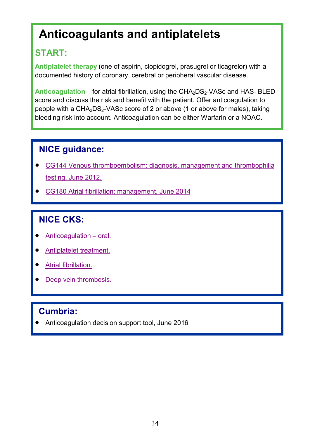# **Anticoagulants and antiplatelets**

### **START:**

**Antiplatelet therapy** (one of aspirin, clopidogrel, prasugrel or ticagrelor) with a documented history of coronary, cerebral or peripheral vascular disease.

Anticoagulation – for atrial fibrillation, using the CHA<sub>2</sub>DS<sub>2</sub>-VASc and HAS-BLED score and discuss the risk and benefit with the patient. Offer anticoagulation to people with a CHA<sub>2</sub>DS<sub>2</sub>-[VASc](http://www.cardiosource.org/Science-And-Quality/Clinical-Tools/Atrial-Fibrillation-Toolkit.aspx) score of 2 or above (1 or above for males), taking bleeding risk into account. Anticoagulation can be either Warfarin or a NOAC.

#### **[NICE guidance:](http://guidance.nice.org.uk/CG101/QuickRefGuide/pdf/English)**

- [CG144 Venous thromboembolism: diagnosis, management and thrombophilia](https://www.nice.org.uk/guidance/cg144)  [testing, June 2012.](https://www.nice.org.uk/guidance/cg144)
- [CG180 Atrial fibrillation: management, June 2014](https://www.nice.org.uk/guidance/cg180)

### **[NICE CKS:](http://guidance.nice.org.uk/CG101/QuickRefGuide/pdf/English)**

- [Anticoagulation –](http://cks.nice.org.uk/anticoagulation-oral) oral.
- [Antiplatelet treatment.](http://cks.nice.org.uk/antiplatelet-treatment)
- [Atrial fibrillation.](http://cks.nice.org.uk/atrial-fibrillation)
- [Deep vein thrombosis.](http://cks.nice.org.uk/deep-vein-thrombosis)

#### **Cumbria:**

Anticoagulation decision support tool, June 2016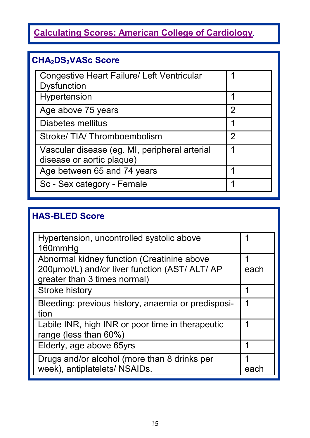# **[Calculating Scores: American College of Cardiology](http://www.acc.org/tools-and-practice-support/clinical-toolkits/atrial-fibrillation-afib).**

| <b>CHA<sub>2</sub>DS<sub>2</sub>VASc Score</b>                             |               |  |  |
|----------------------------------------------------------------------------|---------------|--|--|
| Congestive Heart Failure/ Left Ventricular<br>Dysfunction                  |               |  |  |
| Hypertension                                                               | 1             |  |  |
| Age above 75 years                                                         | 2             |  |  |
| Diabetes mellitus                                                          | 1             |  |  |
| Stroke/TIA/Thromboembolism                                                 | $\mathcal{P}$ |  |  |
| Vascular disease (eg. MI, peripheral arterial<br>disease or aortic plaque) |               |  |  |
| Age between 65 and 74 years                                                | 1             |  |  |
| Sc - Sex category - Female                                                 | 1             |  |  |

### **HAS-BLED Score**

| Hypertension, uncontrolled systolic above<br>160mmHg                                                                         |  |
|------------------------------------------------------------------------------------------------------------------------------|--|
| Abnormal kidney function (Creatinine above<br>200µmol/L) and/or liver function (AST/ ALT/ AP<br>greater than 3 times normal) |  |
| Stroke history                                                                                                               |  |
| Bleeding: previous history, anaemia or predisposi-<br>tion                                                                   |  |
| Labile INR, high INR or poor time in therapeutic<br>range (less than 60%)                                                    |  |
| Elderly, age above 65yrs                                                                                                     |  |
| Drugs and/or alcohol (more than 8 drinks per<br>week), antiplatelets/ NSAIDs.                                                |  |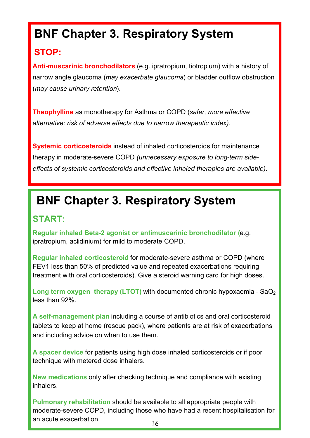# <span id="page-15-0"></span>**BNF Chapter 3. Respiratory System**

#### **STOP:**

**Anti-muscarinic bronchodilators** (e.g. ipratropium, tiotropium) with a history of narrow angle glaucoma (*may exacerbate glaucoma*) or bladder outflow obstruction (*may cause urinary retention*).

**Theophylline** as monotherapy for Asthma or COPD (*safer, more effective alternative; risk of adverse effects due to narrow therapeutic index).*

**Systemic corticosteroids** instead of inhaled corticosteroids for maintenance therapy in moderate-severe COPD *(unnecessary exposure to long-term sideeffects of systemic corticosteroids and effective inhaled therapies are available).*

# **BNF Chapter 3. Respiratory System**

### **START:**

**Regular inhaled Beta-2 agonist or antimuscarinic bronchodilator (**e.g. ipratropium, aclidinium) for mild to moderate COPD.

**Regular inhaled corticosteroid** for moderate-severe asthma or COPD (where FEV1 less than 50% of predicted value and repeated exacerbations requiring treatment with oral corticosteroids). Give a steroid warning card for high doses.

**Long term oxygen therapy (LTOT)** with documented chronic hypoxaemia - SaO<sub>2</sub> less than 92%.

**A self-management plan** including a course of antibiotics and oral corticosteroid tablets to keep at home (rescue pack), where patients are at risk of exacerbations and including advice on when to use them.

**A spacer device** for patients using high dose inhaled corticosteroids or if poor technique with metered dose inhalers.

**New medications** only after checking technique and compliance with existing inhalers.

**Pulmonary rehabilitation** should be available to all appropriate people with moderate-severe COPD, including those who have had a recent hospitalisation for an acute exacerbation.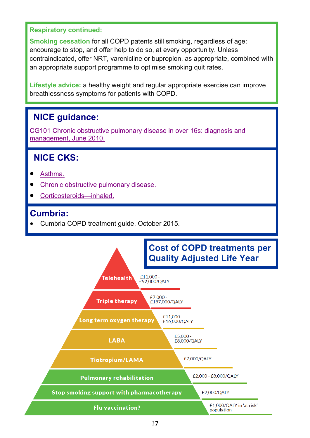#### **Respiratory continued:**

**Smoking cessation** for all COPD patents still smoking, regardless of age: encourage to stop, and offer help to do so, at every opportunity. Unless contraindicated, offer NRT, varenicline or bupropion, as appropriate, combined with an appropriate support programme to optimise smoking quit rates.

**Lifestyle advice:** a healthy weight and regular appropriate exercise can improve breathlessness symptoms for patients with COPD.

#### **[NICE guidance:](http://guidance.nice.org.uk/CG101/QuickRefGuide/pdf/English)**

[CG101 Chronic obstructive pulmonary disease in over 16s: diagnosis and](https://www.nice.org.uk/guidance/cg101)  [management, June 2010.](https://www.nice.org.uk/guidance/cg101)

#### **[NICE CKS:](http://guidance.nice.org.uk/CG101/QuickRefGuide/pdf/English)**

- [A](http://guidance.nice.org.uk/CG101/QuickRefGuide/pdf/English)[sthma.](http://cks.nice.org.uk/asthma)
- [Chronic obstructive pulmonary disease.](http://cks.nice.org.uk/chronic-obstructive-pulmonary-disease)
- [Corticosteroids—inhaled.](http://cks.nice.org.uk/corticosteroids-inhaled)

#### **Cumbria:**

Cumbria COPD treatment guide, October 2015.

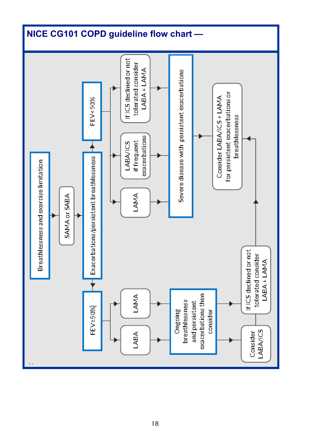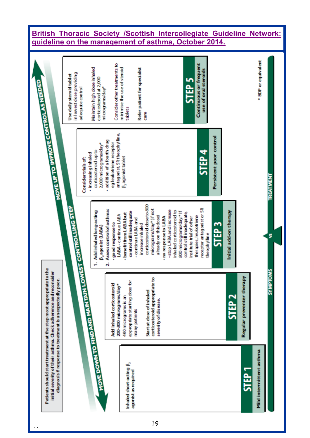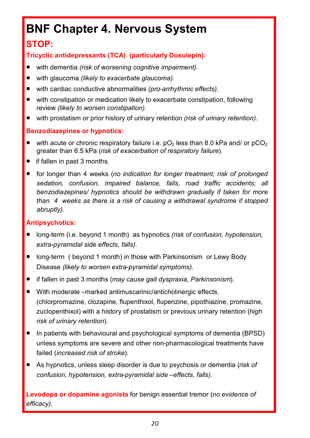# <span id="page-19-0"></span>**BNF Chapter 4. Nervous System**

### **STOP:**

#### **Tricyclic antidepressants (TCA) (particularly Dosulepin):**

- with dementia *(risk of worsening cognitive impairment).*
- with glaucoma *(likely to exacerbate glaucoma).*
- with cardiac conductive abnormalities *(pro-arrhythmic effects).*
- with constipation or medication likely to exacerbate constipation, following review *(likely to worsen constipation).*
- with prostatism or prior history of urinary retention *(risk of urinary retention).*

#### **Benzodiazepines or hypnotics:**

- with acute or chronic respiratory failure i.e.  $pO<sub>2</sub>$  less than 8.0 kPa and/ or  $pCO<sub>2</sub>$ greater than 6.5 kPa (*risk of exacerbation of respiratory failure*).
- if fallen in past 3 months.
- for longer than 4 weeks (*no indication for longer treatment; risk of prolonged sedation, confusion, impaired balance, falls, road traffic accidents; all benzodiazepines/ hypnotics should be withdrawn gradually if taken for more than 4 weeks as there is a risk of causing a withdrawal syndrome if stopped abruptly).*

#### **Antipsychotics:**

- long-term (i.e. beyond 1 month) as hypnotics *(risk of confusion, hypotension, extra-pyramidal side effects, falls).*
- long-term ( beyond 1 month) in those with Parkinsonism or Lewy Body Disease *(likely to worsen extra-pyramidal symptoms).*
- if fallen in past 3 months (*may cause gait dyspraxia, Parkinsonism*).
- With moderate –marked antimuscarinic/anticholinergic effects. (chlorpromazine, clozapine, flupenthixol, flupenzine, pipothiazine, promazine, zuclopenthixol) with a history of prostatism or previous urinary retention (*high risk of urinary retention*).
- In patients with behavioural and psychological symptoms of dementia (BPSD) unless symptoms are severe and other non-pharmacological treatments have failed (*increased risk of stroke*).
- As hypnotics, unless sleep disorder is due to psychosis or dementia (*risk of confusion, hypotension, extra-pyramidal side –effects, falls).*

**Levodopa or dopamine agonists** for benign essential tremor (*no evidence of efficacy).*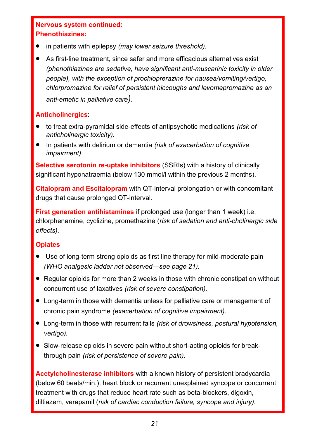#### <span id="page-20-0"></span>**Nervous system continued: Phenothiazines:**

- in patients with epilepsy *(may lower seizure threshold).*
- As first-line treatment, since safer and more efficacious alternatives exist *(phenothiazines are sedative, have significant anti-muscarinic toxicity in older people), with the exception of prochloprerazine for nausea/vomiting/vertigo, chlorpromazine for relief of persistent hiccoughs and levomepromazine as an*

*anti-emetic in palliative care).*

#### **Anticholinergics**:

- to treat extra-pyramidal side-effects of antipsychotic medications *(risk of anticholinergic toxicity).*
- In patients with delirium or dementia *(risk of exacerbation of cognitive impairment).*

**Selective serotonin re-uptake inhibitors** (SSRIs) with a history of clinically significant hyponatraemia (below 130 mmol/l within the previous 2 months).

**Citalopram and Escitalopram** with QT-interval prolongation or with concomitant drugs that cause prolonged QT-interval.

**First generation antihistamines** if prolonged use (longer than 1 week) i.e. chlorphenamine, cyclizine, promethazine (*risk of sedation and anti-cholinergic side effects).* 

#### **Opiates**

- Use of long-term strong opioids as first line therapy for mild-moderate pain *(WHO analgesic ladder not observed—see page 21).*
- Regular opioids for more than 2 weeks in those with chronic constipation without concurrent use of laxatives *(risk of severe constipation).*
- Long-term in those with dementia unless for palliative care or management of chronic pain syndrome *(exacerbation of cognitive impairment).*
- Long-term in those with recurrent falls *(risk of drowsiness, postural hypotension, vertigo).*
- Slow-release opioids in severe pain without short-acting opioids for breakthrough pain *(risk of persistence of severe pain).*

**Acetylcholinesterase inhibitors** with a known history of persistent bradycardia (below 60 beats/min.), heart block or recurrent unexplained syncope or concurrent treatment with drugs that reduce heart rate such as beta-blockers, digoxin, diltiazem, verapamil (*risk of cardiac conduction failure, syncope and injury).*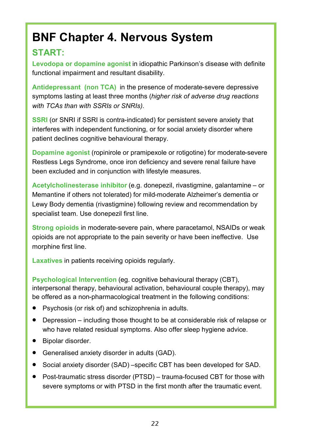# **BNF Chapter 4. Nervous System**

#### **START:**

**Levodopa or dopamine agonist** in idiopathic Parkinson's disease with definite functional impairment and resultant disability.

**Antidepressant (non TCA)** in the presence of moderate-severe depressive symptoms lasting at least three months (*higher risk of adverse drug reactions with TCAs than with SSRIs or SNRIs).*

**SSRI** (or SNRI if SSRI is contra-indicated) for persistent severe anxiety that interferes with independent functioning, or for social anxiety disorder where patient declines cognitive behavioural therapy.

**Dopamine agonist** (ropinirole or pramipexole or rotigotine) for moderate-severe Restless Legs Syndrome, once iron deficiency and severe renal failure have been excluded and in conjunction with lifestyle measures.

**Acetylcholinesterase inhibitor** (e.g. donepezil, rivastigmine, galantamine – or Memantine if others not tolerated) for mild-moderate Alzheimer's dementia or Lewy Body dementia (rivastigmine) following review and recommendation by specialist team. Use donepezil first line.

**Strong opioids** in moderate-severe pain, where paracetamol, NSAIDs or weak opioids are not appropriate to the pain severity or have been ineffective. Use morphine first line.

**Laxatives** in patients receiving opioids regularly.

**Psychological Intervention** (eg. cognitive behavioural therapy (CBT), interpersonal therapy, behavioural activation, behavioural couple therapy), may be offered as a non-pharmacological treatment in the following conditions:

- Psychosis (or risk of) and schizophrenia in adults.
- Depression including those thought to be at considerable risk of relapse or who have related residual symptoms. Also offer sleep hygiene advice.
- Bipolar disorder.
- Generalised anxiety disorder in adults (GAD).
- Social anxiety disorder (SAD) –specific CBT has been developed for SAD.
- Post-traumatic stress disorder (PTSD) trauma-focused CBT for those with severe symptoms or with PTSD in the first month after the traumatic event.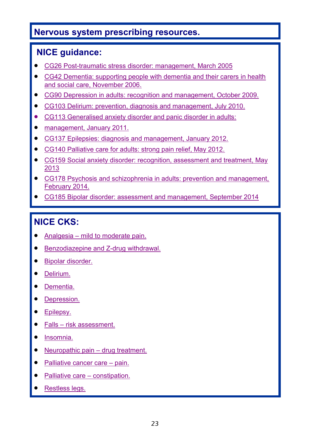#### **Nervous system prescribing resources.**

### **[NICE guidance:](http://guidance.nice.org.uk/CG90/QuickRefGuide/pdf/English)**

- CG26 Post-[traumatic stress disorder: management, March 2005](https://www.nice.org.uk/guidance/cg26)
- [CG42 Dementia: supporting people with dementia and their carers in health](https://www.nice.org.uk/guidance/cg42)  [and social care, November 2006.](https://www.nice.org.uk/guidance/cg42)
- [CG90 Depression in adults: recognition and management, October 2009.](https://www.nice.org.uk/guidance/cg90)
- [CG103 Delirium: prevention, diagnosis and management, July 2010.](https://www.nice.org.uk/guidance/cg103)
- [CG113 Generalised anxiety disorder and panic disorder in adults:](https://www.nice.org.uk/guidance/cg113)
- [management, January 2011.](https://www.nice.org.uk/guidance/cg113)
- [CG137 Epilepsies: diagnosis and management, January 2012.](https://www.nice.org.uk/guidance/cg137)
- [CG140 Palliative care for adults: strong pain relief, May 2012.](https://www.nice.org.uk/guidance/cg140)
- [CG159 Social anxiety disorder: recognition, assessment and treatment, May](https://www.nice.org.uk/guidance/cg159)  [2013](https://www.nice.org.uk/guidance/cg159)
- [CG178 Psychosis and schizophrenia in adults: prevention and management,](https://www.nice.org.uk/guidance/cg178)  [February 2014.](https://www.nice.org.uk/guidance/cg178)
- [CG185 Bipolar disorder: assessment and management, September 2014](https://www.nice.org.uk/guidance/cg185)

### **[NICE CKS:](http://guidance.nice.org.uk/CG42/QuickRefGuide/pdf/English)**

- Analgesia [mild to moderate pain.](http://cks.nice.org.uk/analgesia-mild-to-moderate-pain)
- [Benzodiazepine and Z](http://cks.nice.org.uk/benzodiazepine-and-z-drug-withdrawal)-drug withdrawal.
- [Bipolar disorder.](http://cks.nice.org.uk/bipolar-disorder)
- [Delirium.](http://cks.nice.org.uk/delirium)
- [Dementia.](http://cks.nice.org.uk/dementia)
- [Depression.](http://cks.nice.org.uk/depression)
- [Epilepsy.](http://cks.nice.org.uk/epilepsy)
- Falls [risk assessment.](http://cks.nice.org.uk/falls-risk-assessment)
- [Insomnia.](http://cks.nice.org.uk/insomnia)
- [Neuropathic pain –](http://cks.nice.org.uk/neuropathic-pain-drug-treatment) drug treatment.
- [Palliative cancer care –](http://cks.nice.org.uk/palliative-cancer-care-pain) pain.
- [Palliative care –](http://cks.nice.org.uk/palliative-care-constipation) constipation.
- [Restless legs.](http://cks.nice.org.uk/restless-legs-syndrome)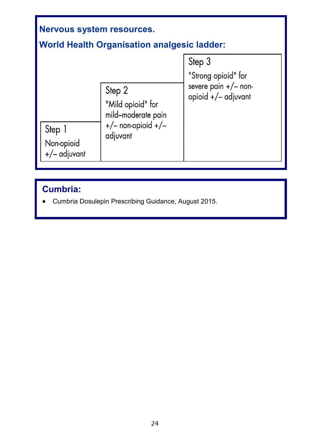| Nervous system resources.<br><b>World Health Organisation analgesic ladder:</b> |                                                                                         |                                                                              |  |  |  |  |
|---------------------------------------------------------------------------------|-----------------------------------------------------------------------------------------|------------------------------------------------------------------------------|--|--|--|--|
| Step 1                                                                          | Step 2<br>"Mild opioid" for<br>mild-moderate pain<br>$+/-$ non-opioid $+/-$<br>adjuvant | Step 3<br>"Strong opioid" for<br>severe pain +/- non-<br>opioid +/- adjuvant |  |  |  |  |
| Non-opioid<br>+/- adjuvant                                                      |                                                                                         |                                                                              |  |  |  |  |

### **Cumbria:**

Cumbria Dosulepin Prescribing Guidance, August 2015.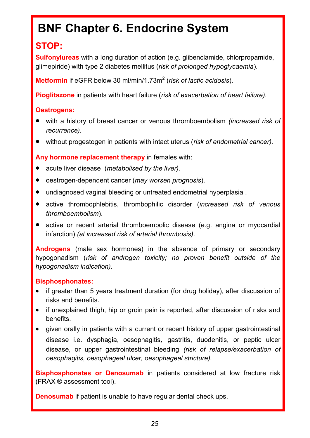# <span id="page-24-0"></span>**BNF Chapter 6. Endocrine System**

#### **STOP:**

**Sulfonylureas** with a long duration of action (e.g. glibenclamide, chlorpropamide, glimepiride) with type 2 diabetes mellitus (*risk of prolonged hypoglycaemia*).

**Metformin** if eGFR below 30 ml/min/1.73m<sup>2</sup> (risk of lactic acidosis).

**Pioglitazone** in patients with heart failure (*risk of exacerbation of heart failure).*

#### **Oestrogens:**

- with a history of breast cancer or venous thromboembolism *(increased risk of recurrence).*
- without progestogen in patients with intact uterus (*risk of endometrial cancer).*

**Any hormone replacement therapy** in females with:

- acute liver disease (*metabolised by the liver).*
- oestrogen-dependent cancer (*may worsen prognosis*).
- undiagnosed vaginal bleeding or untreated endometrial hyperplasia .
- active thrombophlebitis, thrombophilic disorder (*increased risk of venous thromboembolism*).
- active or recent arterial thromboembolic disease (e.g. angina or myocardial infarction) *(at increased risk of arterial thrombosis).*

**Androgens** (male sex hormones) in the absence of primary or secondary hypogonadism (*risk of androgen toxicity; no proven benefit outside of the hypogonadism indication).*

#### **Bisphosphonates:**

- if greater than 5 years treatment duration (for drug holiday), after discussion of risks and benefits.
- if unexplained thigh, hip or groin pain is reported, after discussion of risks and benefits.
- given orally in patients with a current or recent history of upper gastrointestinal disease i.e. dysphagia, oesophagitis, gastritis, duodenitis, or peptic ulcer disease, or upper gastrointestinal bleeding *(risk of relapse/exacerbation of oesophagitis, oesophageal ulcer, oesophageal stricture).*

**Bisphosphonates or Denosumab** in patients considered at low fracture risk (FRAX ® assessment tool).

**Denosumab** if patient is unable to have regular dental check ups.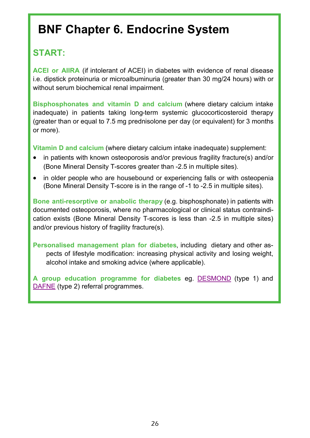# **BNF Chapter 6. Endocrine System**

### **START:**

**ACEI or AIIRA** (if intolerant of ACEI) in diabetes with evidence of renal disease i.e. dipstick proteinuria or microalbuminuria (greater than 30 mg/24 hours) with or without serum biochemical renal impairment.

**Bisphosphonates and vitamin D and calcium** (where dietary calcium intake inadequate) in patients taking long-term systemic glucocorticosteroid therapy (greater than or equal to 7.5 mg prednisolone per day (or equivalent) for 3 months or more).

**Vitamin D and calcium** (where dietary calcium intake inadequate) supplement:

- in patients with known osteoporosis and/or previous fragility fracture(s) and/or (Bone Mineral Density T-scores greater than -2.5 in multiple sites).
- in older people who are housebound or experiencing falls or with osteopenia (Bone Mineral Density T-score is in the range of -1 to -2.5 in multiple sites).

**Bone anti-resorptive or anabolic therapy** (e.g. bisphosphonate) in patients with documented osteoporosis, where no pharmacological or clinical status contraindication exists (Bone Mineral Density T-scores is less than -2.5 in multiple sites) and/or previous history of fragility fracture(s).

**Personalised management plan for diabetes**, including dietary and other aspects of lifestyle modification: increasing physical activity and losing weight, alcohol intake and smoking advice (where applicable).

**A group education programme for diabetes** eg. [DESMOND](http://www.desmond-project.org.uk/) (type 1) and [DAFNE](http://www.dafne.uk.com/) (type 2) referral programmes.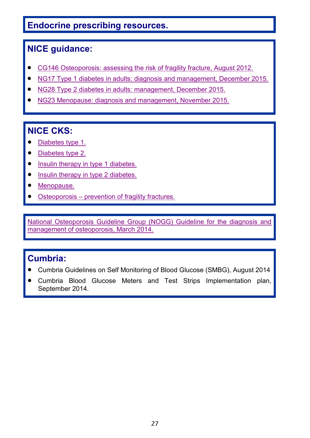#### **NICE guidance:**

- [CG146 Osteoporosis: assessing the risk of fragility fracture, August 2012.](https://www.nice.org.uk/guidance/cg146)
- [NG17 Type 1 diabetes in adults: diagnosis and management, December 2015.](https://www.nice.org.uk/guidance/ng17)
- [NG28 Type 2 diabetes in adults: management, December 2015.](https://www.nice.org.uk/guidance/ng28)
- [NG23 Menopause: diagnosis and management, November 2015.](https://www.nice.org.uk/guidance/ng23)

### **NICE CKS:**

- [Diabetes type 1.](http://cks.nice.org.uk/diabetes-type-1)
- [Diabetes type 2.](http://cks.nice.org.uk/diabetes-type-2)
- [Insulin therapy in type 1 diabetes.](http://cks.nice.org.uk/insulin-therapy-in-type-1-diabetes)
- [Insulin therapy in type 2 diabetes.](http://cks.nice.org.uk/insulin-therapy-in-type-2-diabetes)
- [Menopause.](http://cks.nice.org.uk/menopause)
- Osteoporosis [prevention of fragility fractures.](http://cks.nice.org.uk/osteoporosis-prevention-of-fragility-fractures)

[National Osteoporosis Guideline Group \(NOGG\) Guideline for the diagnosis and](https://www.shef.ac.uk/NOGG/NOGG_Pocket_Guide_for_Healthcare_Professionals.pdf)  [management of osteoporosis, March 2014.](https://www.shef.ac.uk/NOGG/NOGG_Pocket_Guide_for_Healthcare_Professionals.pdf)

#### **Cumbria:**

- Cumbria Guidelines on Self Monitoring of Blood Glucose (SMBG), August 2014
- Cumbria Blood Glucose Meters and Test Strips Implementation plan, September 2014.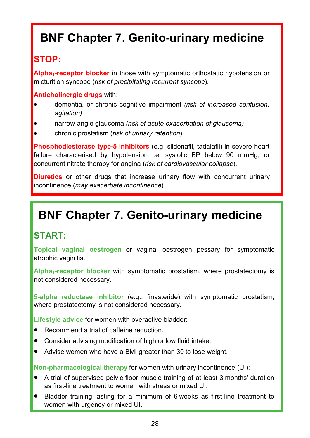# <span id="page-27-0"></span>**BNF Chapter 7. Genito-urinary medicine**

#### **STOP:**

**Alpha1-receptor blocker** in those with symptomatic orthostatic hypotension or micturition syncope (*risk of precipitating recurrent syncope*).

#### **Anticholinergic drugs** with:

- dementia, or chronic cognitive impairment *(risk of increased confusion, agitation)*
- narrow-angle glaucoma *(risk of acute exacerbation of glaucoma)*
- chronic prostatism (*risk of urinary retention*).

**Phosphodiesterase type-5 inhibitors (e.g. sildenafil, tadalafil) in severe heart** failure characterised by hypotension i.e. systolic BP below 90 mmHg, or concurrent nitrate therapy for angina (*risk of cardiovascular collapse*).

**Diuretics** or other drugs that increase urinary flow with concurrent urinary incontinence (*may exacerbate incontinence*).

# **BNF Chapter 7. Genito-urinary medicine**

### **START:**

**Topical vaginal oestrogen** or vaginal oestrogen pessary for symptomatic atrophic vaginitis.

**Alpha1-receptor blocker** with symptomatic prostatism, where prostatectomy is not considered necessary.

**5-alpha reductase inhibitor** (e.g., finasteride) with symptomatic prostatism, where prostatectomy is not considered necessary.

**Lifestyle advice** for women with overactive bladder:

- Recommend a trial of caffeine reduction.
- Consider advising modification of high or low fluid intake.
- Advise women who have a BMI greater than 30 to lose weight.

**Non-pharmacological therapy** for women with urinary incontinence (UI):

- A trial of supervised pelvic floor muscle training of at least 3 months' duration as first-line treatment to women with stress or mixed UI.
- Bladder training lasting for a minimum of 6 weeks as first-line treatment to women with urgency or mixed UI.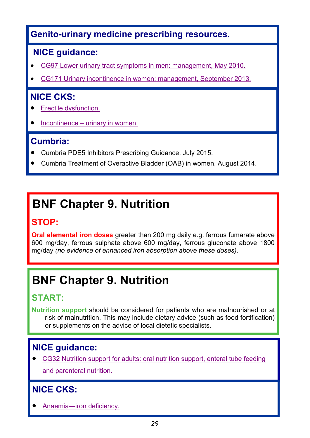### <span id="page-28-0"></span>**Genito-urinary medicine prescribing resources.**

#### **NICE guidance:**

- [CG97 Lower urinary tract symptoms in men: management, May 2010.](https://www.nice.org.uk/guidance/cg97)
- [CG171 Urinary incontinence in women: management, September 2013.](https://www.nice.org.uk/guidance/cg171)

#### **NICE CKS:**

- [Erectile dysfunction.](http://cks.nice.org.uk/erectile-dysfunction)
- Incontinence [urinary in women.](http://cks.nice.org.uk/incontinence-urinary-in-women)

#### **Cumbria:**

- Cumbria PDE5 Inhibitors Prescribing Guidance, July 2015.
- Cumbria Treatment of Overactive Bladder (OAB) in women, August 2014.

# **BNF Chapter 9. Nutrition**

### **STOP:**

**Oral elemental iron doses** greater than 200 mg daily e.g. ferrous fumarate above 600 mg/day, ferrous sulphate above 600 mg/day, ferrous gluconate above 1800 mg/day *(no evidence of enhanced iron absorption above these doses).*

# **BNF Chapter 9. Nutrition**

### **START:**

**Nutrition support** should be considered for patients who are malnourished or at risk of malnutrition. This may include dietary advice (such as food fortification) or supplements on the advice of local dietetic specialists.

### **NICE guidance:**

 [CG32 Nutrition support for adults: oral nutrition support, enteral tube feeding](https://www.nice.org.uk/guidance/cg32)  [and parenteral nutrition.](https://www.nice.org.uk/guidance/cg32)

### **NICE CKS:**

[Anaemia—iron deficiency.](http://cks.nice.org.uk/anaemia-iron-deficiency)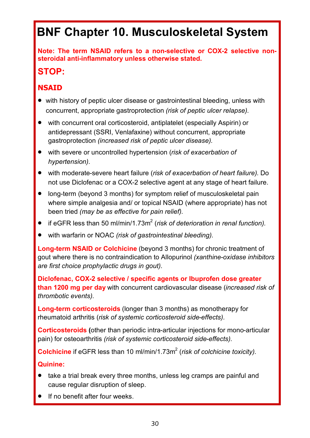# <span id="page-29-0"></span>**BNF Chapter 10. Musculoskeletal System**

**Note: The term NSAID refers to a non-selective or COX-2 selective nonsteroidal anti-inflammatory unless otherwise stated.**

#### **STOP:**

#### **NSAID**

- with history of peptic ulcer disease or gastrointestinal bleeding, unless with concurrent, appropriate gastroprotection *(risk of peptic ulcer relapse).*
- with concurrent oral corticosteroid, antiplatelet (especially Aspirin) or antidepressant (SSRI, Venlafaxine) without concurrent, appropriate gastroprotection *(increased risk of peptic ulcer disease).*
- with severe or uncontrolled hypertension (*risk of exacerbation of hypertension).*
- with moderate-severe heart failure (*risk of exacerbation of heart failure).* Do not use Diclofenac or a COX-2 selective agent at any stage of heart failure.
- long-term (beyond 3 months) for symptom relief of musculoskeletal pain where simple analgesia and/ or topical NSAID (where appropriate) has not been tried *(may be as effective for pain relief).*
- if eGFR less than 50 ml/min/1.73m<sup>2</sup> (risk of deterioration in renal function).
- with warfarin or NOAC *(risk of gastrointestinal bleeding).*

**Long-term NSAID or Colchicine** (beyond 3 months) for chronic treatment of gout where there is no contraindication to Allopurinol *(xanthine-oxidase inhibitors are first choice prophylactic drugs in gout).*

**Diclofenac, COX-2 selective / specific agents or Ibuprofen dose greater than 1200 mg per day** with concurrent cardiovascular disease (*increased risk of thrombotic events).*

**Long-term corticosteroids** (longer than 3 months) as monotherapy for rheumatoid arthritis (*risk of systemic corticosteroid side-effects).*

**Corticosteroids (**other than periodic intra-articular injections for mono-articular pain) for osteoarthritis *(risk of systemic corticosteroid side-effects).*

**Colchicine** if eGFR less than 10 ml/min/1.73m<sup>2</sup> (risk of colchicine toxicity).

#### **Quinine:**

- take a trial break every three months, unless leg cramps are painful and cause regular disruption of sleep.
- If no benefit after four weeks.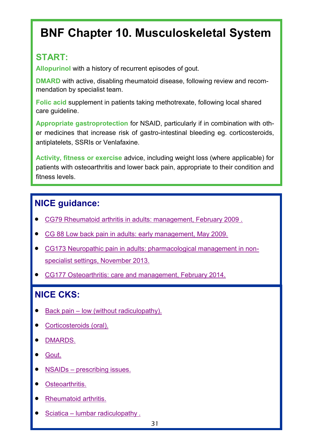# **BNF Chapter 10. Musculoskeletal System**

### **START:**

**Allopurinol** with a history of recurrent episodes of gout.

**DMARD** with active, disabling rheumatoid disease, following review and recommendation by specialist team.

**Folic acid** supplement in patients taking methotrexate, following local shared care guideline.

**Appropriate gastroprotection** for NSAID, particularly if in combination with other medicines that increase risk of gastro-intestinal bleeding eg. corticosteroids, antiplatelets, SSRIs or Venlafaxine.

**Activity, fitness or exercise** advice, including weight loss (where applicable) for patients with osteoarthritis and lower back pain, appropriate to their condition and fitness levels.

### **NICE guidance:**

- [CG79 Rheumatoid arthritis in adults: management, February 2009 .](https://www.nice.org.uk/guidance/cg79)
- [CG 88 Low back pain in adults: early management, May 2009.](https://www.nice.org.uk/guidance/cg88)
- [CG173 Neuropathic pain in adults: pharmacological management in non](https://www.nice.org.uk/guidance/cg173)[specialist settings, November 2013.](https://www.nice.org.uk/guidance/cg173)
- [CG177 Osteoarthritis: care and management, February 2014.](https://www.nice.org.uk/guidance/cg177)

### **NICE CKS:**

- Back pain [low \(without radiculopathy\).](http://cks.nice.org.uk/back-pain-low-without-radiculopathy)
- [Corticosteroids \(oral\).](http://cks.nice.org.uk/corticosteroids-oral)
- [DMARDS.](http://cks.nice.org.uk/dmards)
- [Gout.](http://cks.nice.org.uk/gout)
- NSAIDs [prescribing issues.](http://cks.nice.org.uk/nsaids-prescribing-issues)
- [Osteoarthritis.](http://cks.nice.org.uk/osteoarthritis)
- [Rheumatoid arthritis.](http://cks.nice.org.uk/rheumatoid-arthritis)
- Sciatica [lumbar radiculopathy](http://cks.nice.org.uk/sciatica-lumbar-radiculopathy) .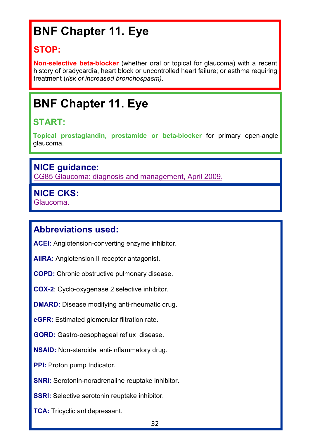# <span id="page-31-0"></span>**BNF Chapter 11. Eye**

### **STOP:**

**Non-selective beta-blocker** (whether oral or topical for glaucoma) with a recent history of bradycardia, heart block or uncontrolled heart failure; or asthma requiring treatment (*risk of increased bronchospasm).*

# **BNF Chapter 11. Eye**

#### **START:**

**Topical prostaglandin, prostamide or beta-blocker** for primary open-angle glaucoma.

#### **NICE guidance:**

[CG85 Glaucoma: diagnosis and management, April 2009.](https://www.nice.org.uk/guidance/cg85)

#### **NICE CKS:**

[Glaucoma.](http://cks.nice.org.uk/glaucoma)

#### **Abbreviations used:**

**ACEI:** Angiotension-converting enzyme inhibitor.

**AIIRA:** Angiotension II receptor antagonist.

**COPD:** Chronic obstructive pulmonary disease.

**COX-2**: Cyclo-oxygenase 2 selective inhibitor.

**DMARD:** Disease modifying anti-rheumatic drug.

**eGFR:** Estimated glomerular filtration rate.

**GORD:** Gastro-oesophageal reflux disease.

**NSAID:** Non-steroidal anti-inflammatory drug.

**PPI:** Proton pump Indicator.

**SNRI:** Serotonin-noradrenaline reuptake inhibitor.

**SSRI:** Selective serotonin reuptake inhibitor.

**TCA:** Tricyclic antidepressant.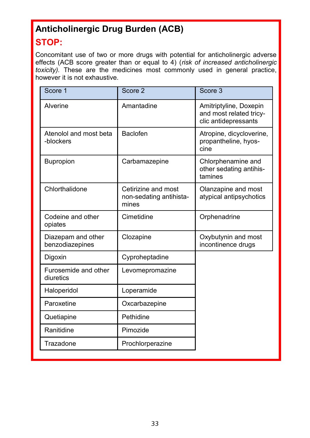### <span id="page-32-0"></span>**Anticholinergic Drug Burden (ACB)**

#### **STOP:**

Concomitant use of two or more drugs with potential for anticholinergic adverse effects (ACB score greater than or equal to 4) (*risk of increased anticholinergic toxicity).* These are the medicines most commonly used in general practice, however it is not exhaustive*.* 

| Score 1                               | Score 2                                                 | Score 3                                                                   |
|---------------------------------------|---------------------------------------------------------|---------------------------------------------------------------------------|
| Alverine                              | Amantadine                                              | Amitriptyline, Doxepin<br>and most related tricy-<br>clic antidepressants |
| Atenolol and most beta<br>-blockers   | Baclofen                                                | Atropine, dicycloverine,<br>propantheline, hyos-<br>cine                  |
| <b>Bupropion</b>                      | Carbamazepine                                           | Chlorphenamine and<br>other sedating antihis-<br>tamines                  |
| Chlorthalidone                        | Cetirizine and most<br>non-sedating antihista-<br>mines | Olanzapine and most<br>atypical antipsychotics                            |
| Codeine and other<br>opiates          | Cimetidine                                              | Orphenadrine                                                              |
| Diazepam and other<br>benzodiazepines | Clozapine                                               | Oxybutynin and most<br>incontinence drugs                                 |
| Digoxin                               | Cyproheptadine                                          |                                                                           |
| Furosemide and other<br>diuretics     | Levomepromazine                                         |                                                                           |
| Haloperidol                           | Loperamide                                              |                                                                           |
| Paroxetine                            | Oxcarbazepine                                           |                                                                           |
| Quetiapine                            | Pethidine                                               |                                                                           |
| Ranitidine                            | Pimozide                                                |                                                                           |
| Trazadone                             | Prochlorperazine                                        |                                                                           |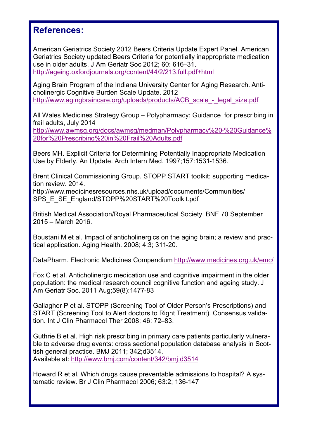#### <span id="page-33-0"></span>**References:**

American Geriatrics Society 2012 Beers Criteria Update Expert Panel. American Geriatrics Society updated Beers Criteria for potentially inappropriate medication use in older adults. J Am Geriatr Soc 2012; 60: 616–31.

<http://ageing.oxfordjournals.org/content/44/2/213.full.pdf+html>

Aging Brain Program of the Indiana University Center for Aging Research. Anticholinergic Cognitive Burden Scale Update. 2012 [http://www.agingbraincare.org/uploads/products/ACB\\_scale\\_](http://www.agingbraincare.org/uploads/products/ACB_scale_-_legal_size.pdf)-\_legal\_size.pdf

All Wales Medicines Strategy Group – Polypharmacy: Guidance for prescribing in frail adults, July 2014

[http://www.awmsg.org/docs/awmsg/medman/Polypharmacy%20](http://www.awmsg.org/docs/awmsg/medman/Polypharmacy%20-%20Guidance%20for%20Prescribing%20in%20Frail%20Adults.pdf)-%20Guidance% [20for%20Prescribing%20in%20Frail%20Adults.pdf](http://www.awmsg.org/docs/awmsg/medman/Polypharmacy%20-%20Guidance%20for%20Prescribing%20in%20Frail%20Adults.pdf)

Beers MH. Explicit Criteria for Determining Potentially Inappropriate Medication Use by Elderly. An Update. Arch Intern Med. 1997;157:1531-1536.

Brent Clinical Commissioning Group. STOPP START toolkit: supporting medication review. 2014.

http://www.medicinesresources.nhs.uk/upload/documents/Communities/ SPS\_E\_SE\_England/STOPP%20START%20Toolkit.pdf

British Medical Association/Royal Pharmaceutical Society. BNF 70 September 2015 – March 2016.

Boustani M et al. Impact of anticholinergics on the aging brain; a review and practical application. Aging Health. 2008; 4:3; 311-20.

DataPharm. Electronic Medicines Compendium<http://www.medicines.org.uk/emc/>

Fox C et al. Anticholinergic medication use and cognitive impairment in the older population: the medical research council cognitive function and ageing study. [J](http://www.ncbi.nlm.nih.gov/pubmed/21707557#)  [Am Geriatr Soc.](http://www.ncbi.nlm.nih.gov/pubmed/21707557#) 2011 Aug;59(8):1477-83

Gallagher P et al. STOPP (Screening Tool of Older Person's Prescriptions) and START (Screening Tool to Alert doctors to Right Treatment). Consensus validation. Int J Clin Pharmacol Ther 2008; 46: 72–83.

Guthrie B et al. High risk prescribing in primary care patients particularly vulnerable to adverse drug events: cross sectional population database analysis in Scottish general practice. BMJ 2011; 342;d3514. Available at: <http://www.bmj.com/content/342/bmj.d3514>

Howard R et al. Which drugs cause preventable admissions to hospital? A systematic review. Br J Clin Pharmacol 2006; 63:2; 136-147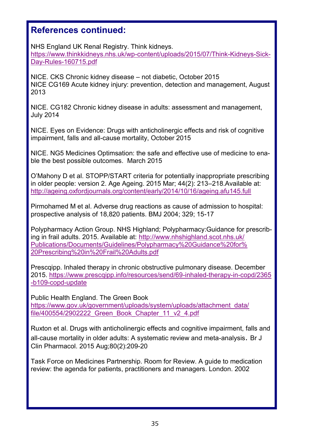#### **References continued:**

NHS England UK Renal Registry. Think kidneys. [https://www.thinkkidneys.nhs.uk/wp](https://www.thinkkidneys.nhs.uk/wp-content/uploads/2015/07/Think-Kidneys-Sick-Day-Rules-160715.pdf)-content/uploads/2015/07/Think-Kidneys-Sick-Day-Rules-[160715.pdf](https://www.thinkkidneys.nhs.uk/wp-content/uploads/2015/07/Think-Kidneys-Sick-Day-Rules-160715.pdf)

NICE. CKS Chronic kidney disease – not diabetic, October 2015 NICE CG169 Acute kidney injury: prevention, detection and management, August 2013

NICE. CG182 Chronic kidney disease in adults: assessment and management, July 2014

NICE. Eyes on Evidence: Drugs with anticholinergic effects and risk of cognitive impairment, falls and all-cause mortality, October 2015

NICE. NG5 Medicines Optimsation: the safe and effective use of medicine to enable the best possible outcomes. March 2015

O'Mahony D et al. STOPP/START criteria for potentially inappropriate prescribing in older people: version 2. Age Ageing. 2015 Mar; 44(2): 213–218.Available at: <http://ageing.oxfordjournals.org/content/early/2014/10/16/ageing.afu145.full>

Pirmohamed M et al. Adverse drug reactions as cause of admission to hospital: prospective analysis of 18,820 patients. BMJ 2004; 329; 15-17

Polypharmacy Action Group. NHS Highland; Polypharmacy:Guidance for prescribing in frail adults. 2015. Available at: [http://www.nhshighland.scot.nhs.uk/](http://www.nhshighland.scot.nhs.uk/Publications/Documents/Guidelines/Polypharmacy%20Guidance%20for%20Prescribing%20in%20Frail%20Adults.pdf) [Publications/Documents/Guidelines/Polypharmacy%20Guidance%20for%](http://www.nhshighland.scot.nhs.uk/Publications/Documents/Guidelines/Polypharmacy%20Guidance%20for%20Prescribing%20in%20Frail%20Adults.pdf) [20Prescribing%20in%20Frail%20Adults.pdf](http://www.nhshighland.scot.nhs.uk/Publications/Documents/Guidelines/Polypharmacy%20Guidance%20for%20Prescribing%20in%20Frail%20Adults.pdf)

Prescqipp. Inhaled therapy in chronic obstructive pulmonary disease. December 2015. [https://www.prescqipp.info/resources/send/69](https://www.prescqipp.info/resources/send/69-inhaled-therapy-in-copd/2365-b109-copd-update)-inhaled-therapy-in-copd/2365 -b109-copd-[update](https://www.prescqipp.info/resources/send/69-inhaled-therapy-in-copd/2365-b109-copd-update)

Public Health England. The Green Book [https://www.gov.uk/government/uploads/system/uploads/attachment\\_data/](https://www.gov.uk/government/uploads/system/uploads/attachment_data/file/400554/2902222_Green_Book_Chapter_11_v2_4.pdf) [file/400554/2902222\\_Green\\_Book\\_Chapter\\_11\\_v2\\_4.pdf](https://www.gov.uk/government/uploads/system/uploads/attachment_data/file/400554/2902222_Green_Book_Chapter_11_v2_4.pdf)

Ruxton et al. Drugs with anticholinergic effects and cognitive impairment, falls and all-cause mortality in older adults: A systematic review and meta-analysis. [Br J](http://www.ncbi.nlm.nih.gov/pubmed/25735839)  [Clin Pharmacol.](http://www.ncbi.nlm.nih.gov/pubmed/25735839) 2015 Aug;80(2):209-20

Task Force on Medicines Partnership. Room for Review. A guide to medication review: the agenda for patients, practitioners and managers. London. 2002